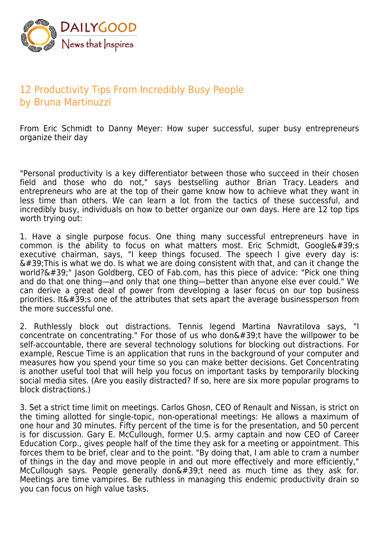

## 12 Productivity Tips From Incredibly Busy People by Bruna Martinuzzi

From Eric Schmidt to Danny Meyer: How super successful, super busy entrepreneurs organize their day

"Personal productivity is a key differentiator between those who succeed in their chosen field and those who do not," says bestselling author Brian Tracy. Leaders and entrepreneurs who are at the top of their game know how to achieve what they want in less time than others. We can learn a lot from the tactics of these successful, and incredibly busy, individuals on how to better organize our own days. Here are 12 top tips worth trying out:

1. Have a single purpose focus. One thing many successful entrepreneurs have in common is the ability to focus on what matters most. Eric Schmidt, Google $\&\#39$ ;s executive chairman, says, "I keep things focused. The speech I give every day is:  $'$ ; This is what we do. Is what we are doing consistent with that, and can it change the world?'" Jason Goldberg, CEO of Fab.com, has this piece of advice: "Pick one thing and do that one thing—and only that one thing—better than anyone else ever could." We can derive a great deal of power from developing a laser focus on our top business priorities. It  $\&\#39$ ; one of the attributes that sets apart the average businessperson from the more successful one.

2. Ruthlessly block out distractions. Tennis legend Martina Navratilova says, "I concentrate on concentrating." For those of us who don $'$ ; have the willpower to be self-accountable, there are several technology solutions for blocking out distractions. For example, Rescue Time is an application that runs in the background of your computer and measures how you spend your time so you can make better decisions. Get Concentrating is another useful tool that will help you focus on important tasks by temporarily blocking social media sites. (Are you easily distracted? If so, here are six more popular programs to block distractions.)

3. Set a strict time limit on meetings. Carlos Ghosn, CEO of Renault and Nissan, is strict on the timing allotted for single-topic, non-operational meetings: He allows a maximum of one hour and 30 minutes. Fifty percent of the time is for the presentation, and 50 percent is for discussion. Gary E. McCullough, former U.S. army captain and now CEO of Career Education Corp., gives people half of the time they ask for a meeting or appointment. This forces them to be brief, clear and to the point. "By doing that, I am able to cram a number of things in the day and move people in and out more effectively and more efficiently," McCullough says. People generally don $'$ ;t need as much time as they ask for. Meetings are time vampires. Be ruthless in managing this endemic productivity drain so you can focus on high value tasks.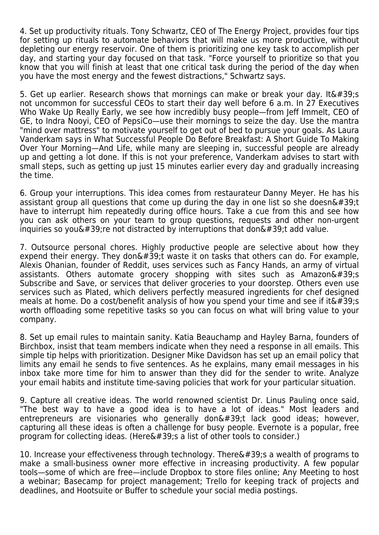4. Set up productivity rituals. Tony Schwartz, CEO of The Energy Project, provides four tips for setting up rituals to automate behaviors that will make us more productive, without depleting our energy reservoir. One of them is prioritizing one key task to accomplish per day, and starting your day focused on that task. "Force yourself to prioritize so that you know that you will finish at least that one critical task during the period of the day when you have the most energy and the fewest distractions," Schwartz says.

5. Get up earlier. Research shows that mornings can make or break your day. It  $\&\#39$ : s not uncommon for successful CEOs to start their day well before 6 a.m. In 27 Executives Who Wake Up Really Early, we see how incredibly busy people—from Jeff Immelt, CEO of GE, to Indra Nooyi, CEO of PepsiCo—use their mornings to seize the day. Use the mantra "mind over mattress" to motivate yourself to get out of bed to pursue your goals. As Laura Vanderkam says in What Successful People Do Before Breakfast: A Short Guide To Making Over Your Morning—And Life, while many are sleeping in, successful people are already up and getting a lot done. If this is not your preference, Vanderkam advises to start with small steps, such as getting up just 15 minutes earlier every day and gradually increasing the time.

6. Group your interruptions. This idea comes from restaurateur Danny Meyer. He has his assistant group all questions that come up during the day in one list so she doesn $\&\#39$ ;t have to interrupt him repeatedly during office hours. Take a cue from this and see how you can ask others on your team to group questions, requests and other non-urgent inquiries so you  $\&\#39$ ; re not distracted by interruptions that don $\&\#39$ ; t add value.

7. Outsource personal chores. Highly productive people are selective about how they expend their energy. They don $\&\#39$ ; twaste it on tasks that others can do. For example, Alexis Ohanian, founder of Reddit, uses services such as Fancy Hands, an army of virtual assistants. Others automate grocery shopping with sites such as  $A$ mazon $\&\#39$ ;s Subscribe and Save, or services that deliver groceries to your doorstep. Others even use services such as Plated, which delivers perfectly measured ingredients for chef designed meals at home. Do a cost/benefit analysis of how you spend your time and see if it  $\&\#39$ ; s worth offloading some repetitive tasks so you can focus on what will bring value to your company.

8. Set up email rules to maintain sanity. Katia Beauchamp and Hayley Barna, founders of Birchbox, insist that team members indicate when they need a response in all emails. This simple tip helps with prioritization. Designer Mike Davidson has set up an email policy that limits any email he sends to five sentences. As he explains, many email messages in his inbox take more time for him to answer than they did for the sender to write. Analyze your email habits and institute time-saving policies that work for your particular situation.

9. Capture all creative ideas. The world renowned scientist Dr. Linus Pauling once said, "The best way to have a good idea is to have a lot of ideas." Most leaders and entrepreneurs are visionaries who generally don't lack good ideas; however, capturing all these ideas is often a challenge for busy people. Evernote is a popular, free program for collecting ideas. (Here $\&\#39$ ; a list of other tools to consider.)

10. Increase your effectiveness through technology. There $\&\#39$ ; a wealth of programs to make a small-business owner more effective in increasing productivity. A few popular tools—some of which are free—include Dropbox to store files online; Any Meeting to host a webinar; Basecamp for project management; Trello for keeping track of projects and deadlines, and Hootsuite or Buffer to schedule your social media postings.